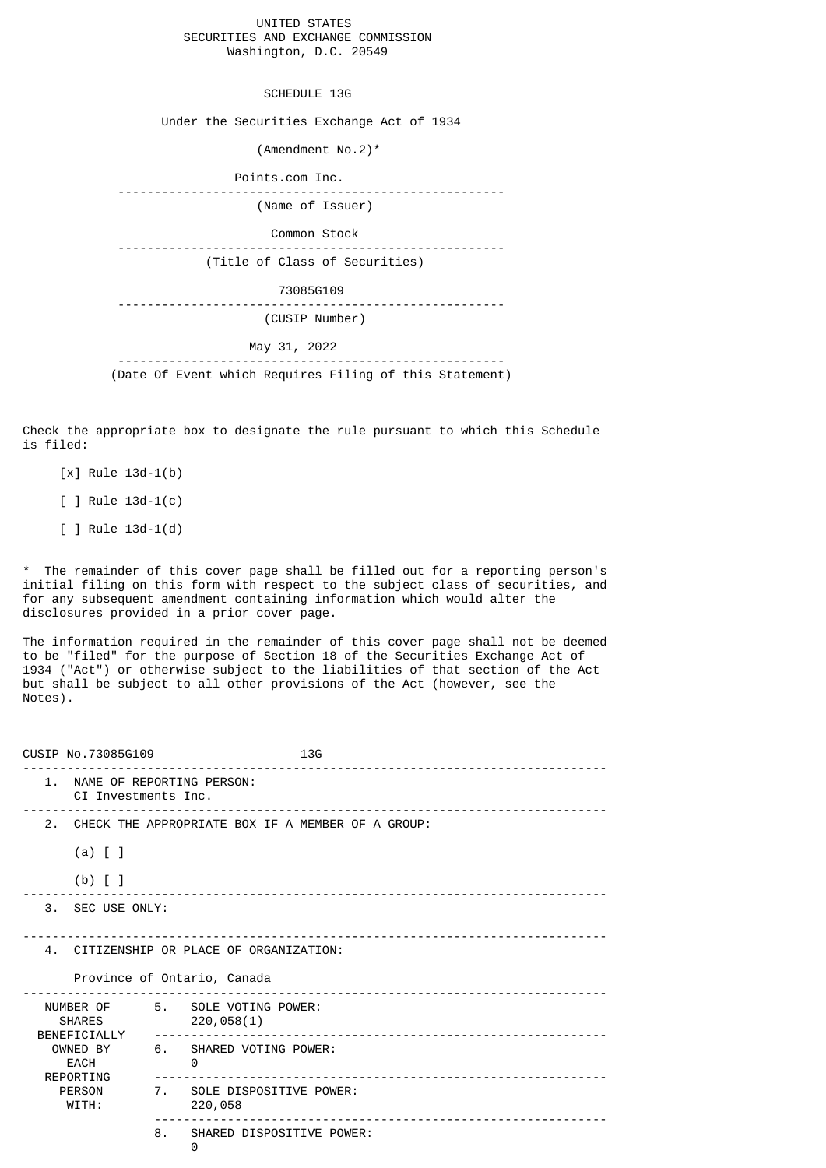UNITED STATES SECURITIES AND EXCHANGE COMMISSION Washington, D.C. 20549

SCHEDULE 13G

Under the Securities Exchange Act of 1934

(Amendment No.2)\*

 Points.com Inc. ----------------------------------------------------- (Name of Issuer) Common Stock ----------------------------------------------------- (Title of Class of Securities) 73085G109 ----------------------------------------------------- (CUSIP Number) May 31, 2022 ----------------------------------------------------- (Date Of Event which Requires Filing of this Statement)

Check the appropriate box to designate the rule pursuant to which this Schedule is filed:

- [x] Rule 13d-1(b)
- [ ] Rule 13d-1(c)
- [ ] Rule 13d-1(d)

\* The remainder of this cover page shall be filled out for a reporting person's initial filing on this form with respect to the subject class of securities, and for any subsequent amendment containing information which would alter the disclosures provided in a prior cover page.

The information required in the remainder of this cover page shall not be deemed to be "filed" for the purpose of Section 18 of the Securities Exchange Act of 1934 ("Act") or otherwise subject to the liabilities of that section of the Act but shall be subject to all other provisions of the Act (however, see the Notes).

| CUSIP No.73085G109                                                                                    |                                                                     | 13G<br>___________________________________ |
|-------------------------------------------------------------------------------------------------------|---------------------------------------------------------------------|--------------------------------------------|
| 1. NAME OF REPORTING PERSON:<br>CI Investments Inc.                                                   |                                                                     |                                            |
| $(a)$ $[$ $]$<br>$(b)$ [ ]                                                                            | 2. CHECK THE APPROPRIATE BOX IF A MEMBER OF A GROUP:                |                                            |
| 3. SEC USE ONLY:                                                                                      |                                                                     |                                            |
| 4. CITIZENSHIP OR PLACE OF ORGANIZATION:<br>Province of Ontario, Canada                               |                                                                     |                                            |
| NUMBER OF<br><b>SHARES</b><br>BENEFICIALLY<br>OWNED BY<br>EACH<br>REPORTING<br><b>PERSON</b><br>WITH: | 5. SOLE VOTING POWER:<br>220,058(1)<br>6. SHARED VOTING POWER:<br>0 |                                            |
|                                                                                                       | 7. SOLE DISPOSITIVE POWER:<br>220,058                               |                                            |
|                                                                                                       | SHARED DISPOSITIVE POWER:<br>8.<br>0                                |                                            |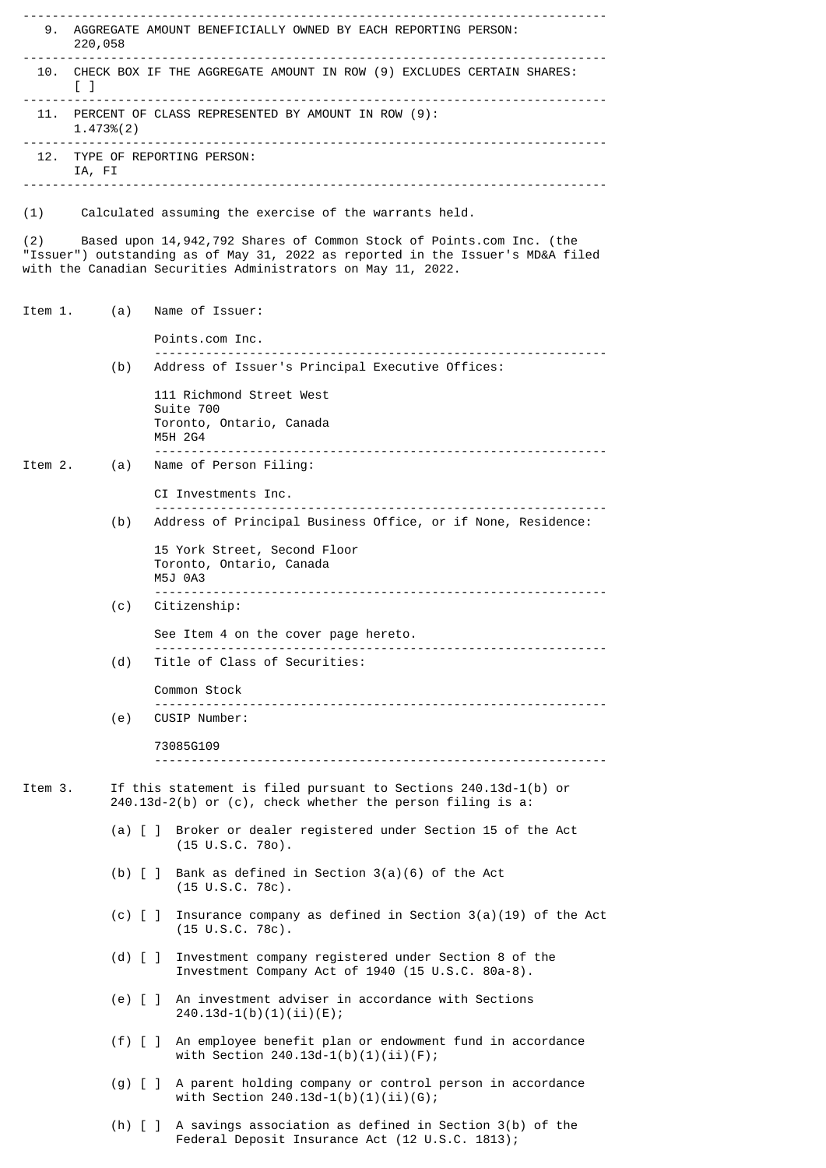-------------------------------------------------------------------------------- 9. AGGREGATE AMOUNT BENEFICIALLY OWNED BY EACH REPORTING PERSON: 220,058 -------------------------------------------------------------------------------- 10. CHECK BOX IF THE AGGREGATE AMOUNT IN ROW (9) EXCLUDES CERTAIN SHARES:  $\lceil$   $\lceil$   $\rceil$ -------------------------------------------------------------------------------- 11. PERCENT OF CLASS REPRESENTED BY AMOUNT IN ROW (9): 1.473%(2) -------------------------------------------------------------------------------- 12. TYPE OF REPORTING PERSON: IA, FI -------------------------------------------------------------------------------- (1) Calculated assuming the exercise of the warrants held. (2) Based upon 14,942,792 Shares of Common Stock of Points.com Inc. (the "Issuer") outstanding as of May 31, 2022 as reported in the Issuer's MD&A filed with the Canadian Securities Administrators on May 11, 2022. Item 1. (a) Name of Issuer: Points.com Inc. -------------------------------------------------------------- Address of Issuer's Principal Executive Offices: 111 Richmond Street West Suite 700 Toronto, Ontario, Canada M5H 2G4 -------------------------------------------------------------- Name of Person Filing: CI Investments Inc. -------------------------------------------------------------- Address of Principal Business Office, or if None, Residence: 15 York Street, Second Floor Toronto, Ontario, Canada M5J 0A3 -------------------------------------------------------------- (c) Citizenship: See Item 4 on the cover page hereto. -------------------------------------------------------------- Title of Class of Securities: Common Stock -------------------------------------------------------------- (e) CUSIP Number: 73085G109 -------------------------------------------------------------- Item 3. If this statement is filed pursuant to Sections 240.13d-1(b) or 240.13d-2(b) or (c), check whether the person filing is a: (a) [ ] Broker or dealer registered under Section 15 of the Act (15 U.S.C. 78o). (b) [ ] Bank as defined in Section 3(a)(6) of the Act (15 U.S.C. 78c). (c) [ ] Insurance company as defined in Section 3(a)(19) of the Act (15 U.S.C. 78c). (d) [ ] Investment company registered under Section 8 of the Investment Company Act of 1940 (15 U.S.C. 80a-8). (e) [ ] An investment adviser in accordance with Sections 240.13d-1(b)(1)(ii)(E); (f) [ ] An employee benefit plan or endowment fund in accordance with Section  $240.13d-1(b)(1)(ii)(F)$ ; (g) [ ] A parent holding company or control person in accordance with Section  $240.13d-1(b)(1)(ii)(G);$  (h) [ ] A savings association as defined in Section 3(b) of the Federal Deposit Insurance Act (12 U.S.C. 1813);